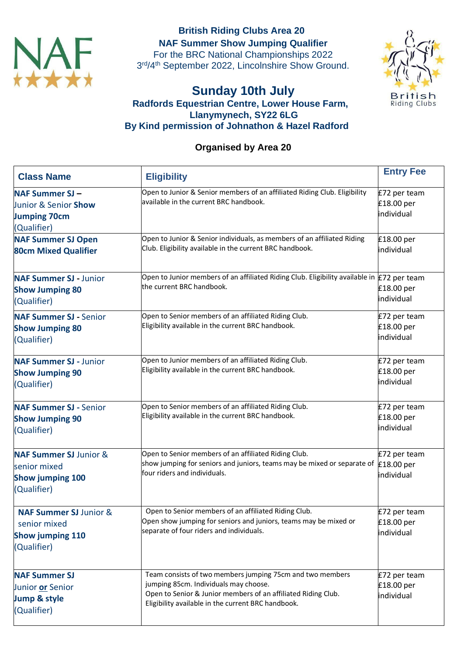

**British Riding Clubs Area 20 NAF Summer Show Jumping Qualifier** For the BRC National Championships 2022 3rd/4<sup>th</sup> September 2022, Lincolnshire Show Ground.



## **Sunday 10th July Radfords Equestrian Centre, Lower House Farm, Llanymynech, SY22 6LG By Kind permission of Johnathon & Hazel Radford**

## **Organised by Area 20**

| <b>Class Name</b>                                                                           | <b>Eligibility</b>                                                                                                                                                                                                        | <b>Entry Fee</b>                         |
|---------------------------------------------------------------------------------------------|---------------------------------------------------------------------------------------------------------------------------------------------------------------------------------------------------------------------------|------------------------------------------|
| <b>NAF Summer SJ-</b><br>Junior & Senior Show<br><b>Jumping 70cm</b><br>(Qualifier)         | Open to Junior & Senior members of an affiliated Riding Club. Eligibility<br>available in the current BRC handbook.                                                                                                       | £72 per team<br>£18.00 per<br>individual |
| <b>NAF Summer SJ Open</b><br><b>80cm Mixed Qualifier</b>                                    | Open to Junior & Senior individuals, as members of an affiliated Riding<br>Club. Eligibility available in the current BRC handbook.                                                                                       | £18.00 per<br>individual                 |
| <b>NAF Summer SJ</b> - Junior<br><b>Show Jumping 80</b><br>(Qualifier)                      | Open to Junior members of an affiliated Riding Club. Eligibility available in $E$ 72 per team<br>the current BRC handbook.                                                                                                | £18.00 per<br>individual                 |
| <b>NAF Summer SJ - Senior</b><br><b>Show Jumping 80</b><br>(Qualifier)                      | Open to Senior members of an affiliated Riding Club.<br>Eligibility available in the current BRC handbook.                                                                                                                | £72 per team<br>£18.00 per<br>individual |
| <b>NAF Summer SJ - Junior</b><br><b>Show Jumping 90</b><br>(Qualifier)                      | Open to Junior members of an affiliated Riding Club.<br>Eligibility available in the current BRC handbook.                                                                                                                | £72 per team<br>£18.00 per<br>individual |
| <b>NAF Summer SJ - Senior</b><br><b>Show Jumping 90</b><br>(Qualifier)                      | Open to Senior members of an affiliated Riding Club.<br>Eligibility available in the current BRC handbook.                                                                                                                | £72 per team<br>£18.00 per<br>individual |
| <b>NAF Summer SJ Junior &amp;</b><br>senior mixed<br><b>Show jumping 100</b><br>(Qualifier) | Open to Senior members of an affiliated Riding Club.<br>show jumping for seniors and juniors, teams may be mixed or separate of<br>four riders and individuals.                                                           | £72 per team<br>£18.00 per<br>individual |
| <b>NAF Summer SJ Junior &amp;</b><br>senior mixed<br><b>Show jumping 110</b><br>(Qualifier) | Open to Senior members of an affiliated Riding Club.<br>Open show jumping for seniors and juniors, teams may be mixed or<br>separate of four riders and individuals.                                                      | £72 per team<br>£18.00 per<br>individual |
| <b>NAF Summer SJ</b><br>Junior or Senior<br>Jump & style<br>(Qualifier)                     | Team consists of two members jumping 75cm and two members<br>jumping 85cm. Individuals may choose.<br>Open to Senior & Junior members of an affiliated Riding Club.<br>Eligibility available in the current BRC handbook. | £72 per team<br>£18.00 per<br>individual |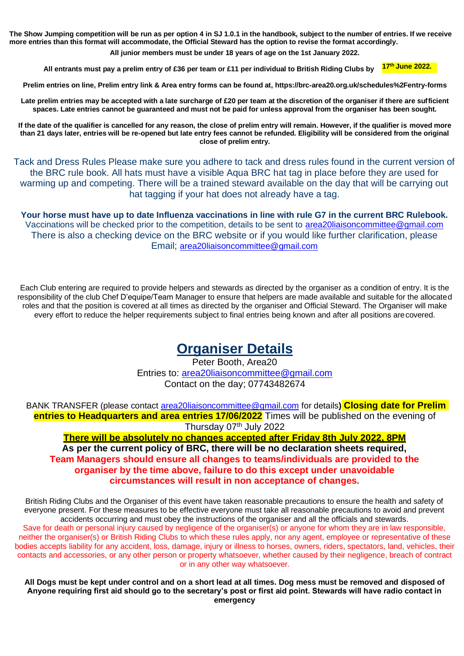**The Show Jumping competition will be run as per option 4 in SJ 1.0.1 in the handbook, subject to the number of entries. If we receive more entries than this format will accommodate, the Official Steward has the option to revise the format accordingly.**

**All junior members must be under 18 years of age on the 1st January 2022.**

**All entrants must pay a prelim entry of £36 per team or £11 per individual to British Riding Clubs by**

**17 th June 2022.**

**Prelim entries on line, Prelim entry link & Area entry forms can be found at, https://brc-area20.org.uk/schedules%2Fentry-forms**

Late prelim entries may be accepted with a late surcharge of £20 per team at the discretion of the organiser if there are sufficient **spaces. Late entries cannot be guaranteed and must not be paid for unless approval from the organiser has been sought.**

**If the date of the qualifier is cancelled for any reason, the close of prelim entry will remain. However, if the qualifier is moved more than 21 days later, entries will be re-opened but late entry fees cannot be refunded. Eligibility will be considered from the original close of prelim entry.**

Tack and Dress Rules Please make sure you adhere to tack and dress rules found in the current version of the BRC rule book. All hats must have a visible Aqua BRC hat tag in place before they are used for warming up and competing. There will be a trained steward available on the day that will be carrying out hat tagging if your hat does not already have a tag.

**Your horse must have up to date Influenza vaccinations in line with rule G7 in the current BRC Rulebook.** Vaccinations will be checked prior to the competition, details to be sent to [area20liaisoncommittee@gmail.com](mailto:area20liaisoncommittee@gmail.com) There is also a checking device on the BRC website or if you would like further clarification, please Email; [area20liaisoncommittee@gmail.com](mailto:area20liaisoncommittee@gmail.com)

Each Club entering are required to provide helpers and stewards as directed by the organiser as a condition of entry. It is the responsibility of the club Chef D'equipe/Team Manager to ensure that helpers are made available and suitable for the allocated roles and that the position is covered at all times as directed by the organiser and Official Steward. The Organiser will make every effort to reduce the helper requirements subject to final entries being known and after all positions arecovered.

# **Organiser Details**

Peter Booth, Area20 Entries to: [area20liaisoncommittee@gmail.com](mailto:area20liaisoncommittee@gmail.com) Contact on the day; 07743482674

BANK TRANSFER (please contact [area20liaisoncommittee@gmail.com](mailto:area20liaisoncommittee@gmail.com) for details**) Closing date for Prelim entries to Headquarters and area entries 17/06/2022** Times will be published on the evening of Thursday 07th July 2022

**There will be absolutely no changes accepted after Friday 8th July 2022, 8PM**

**As per the current policy of BRC, there will be no declaration sheets required, Team Managers should ensure all changes to teams/individuals are provided to the organiser by the time above, failure to do this except under unavoidable circumstances will result in non acceptance of changes.**

British Riding Clubs and the Organiser of this event have taken reasonable precautions to ensure the health and safety of everyone present. For these measures to be effective everyone must take all reasonable precautions to avoid and prevent accidents occurring and must obey the instructions of the organiser and all the officials and stewards. Save for death or personal injury caused by negligence of the organiser(s) or anyone for whom they are in law responsible, neither the organiser(s) or British Riding Clubs to which these rules apply, nor any agent, employee or representative of these bodies accepts liability for any accident, loss, damage, injury or illness to horses, owners, riders, spectators, land, vehicles, their contacts and accessories, or any other person or property whatsoever, whether caused by their negligence, breach of contract or in any other way whatsoever.

**All Dogs must be kept under control and on a short lead at all times. Dog mess must be removed and disposed of Anyone requiring first aid should go to the secretary's post or first aid point. Stewards will have radio contact in emergency**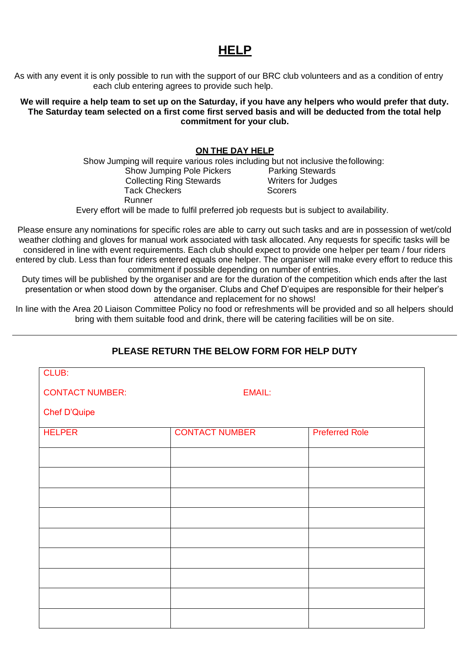## **HELP**

As with any event it is only possible to run with the support of our BRC club volunteers and as a condition of entry each club entering agrees to provide such help.

**We will require a help team to set up on the Saturday, if you have any helpers who would prefer that duty. The Saturday team selected on a first come first served basis and will be deducted from the total help commitment for your club.**

#### **ON THE DAY HELP**

Show Jumping will require various roles including but not inclusive thefollowing:

Show Jumping Pole Pickers Parking Stewards Collecting Ring Stewards Writers for Judges Tack Checkers **Scorers** Runner

Every effort will be made to fulfil preferred job requests but is subject to availability.

Please ensure any nominations for specific roles are able to carry out such tasks and are in possession of wet/cold weather clothing and gloves for manual work associated with task allocated. Any requests for specific tasks will be considered in line with event requirements. Each club should expect to provide one helper per team / four riders entered by club. Less than four riders entered equals one helper. The organiser will make every effort to reduce this commitment if possible depending on number of entries.

Duty times will be published by the organiser and are for the duration of the competition which ends after the last presentation or when stood down by the organiser. Clubs and Chef D'equipes are responsible for their helper's attendance and replacement for no shows!

In line with the Area 20 Liaison Committee Policy no food or refreshments will be provided and so all helpers should bring with them suitable food and drink, there will be catering facilities will be on site.

## **PLEASE RETURN THE BELOW FORM FOR HELP DUTY**

| CLUB:                  |                       |                       |
|------------------------|-----------------------|-----------------------|
| <b>CONTACT NUMBER:</b> | <b>EMAIL:</b>         |                       |
| <b>Chef D'Quipe</b>    |                       |                       |
| <b>HELPER</b>          | <b>CONTACT NUMBER</b> | <b>Preferred Role</b> |
|                        |                       |                       |
|                        |                       |                       |
|                        |                       |                       |
|                        |                       |                       |
|                        |                       |                       |
|                        |                       |                       |
|                        |                       |                       |
|                        |                       |                       |
|                        |                       |                       |